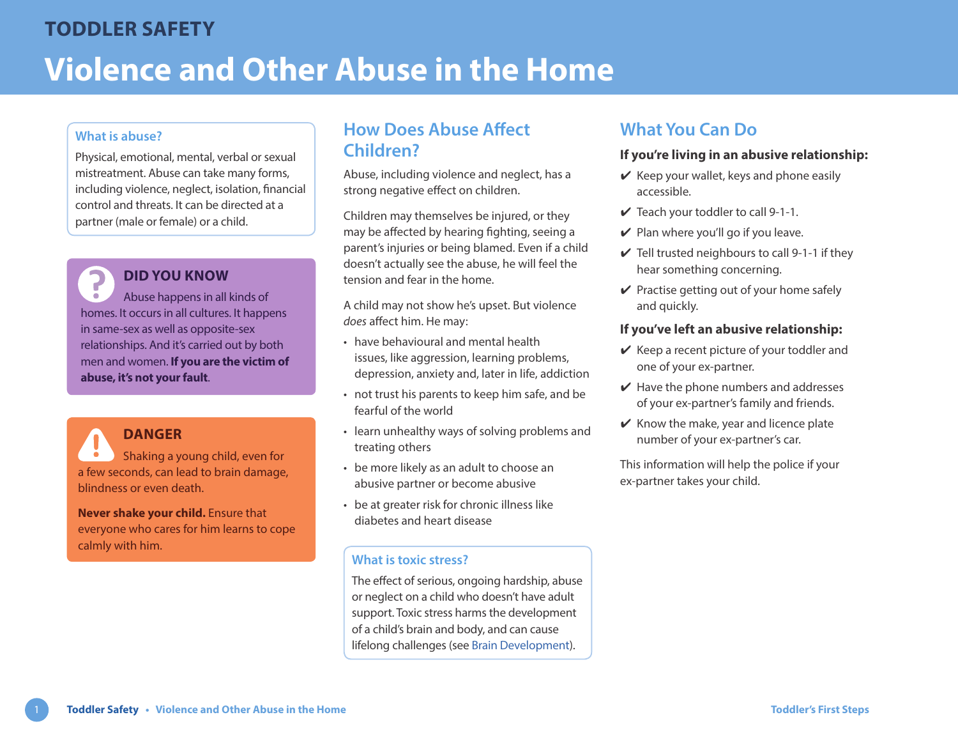### **What is abuse?**

Physical, emotional, mental, verbal or sexual mistreatment. Abuse can take many forms, including violence, neglect, isolation, financial control and threats. It can be directed at a partner (male or female) or a child.

### **DID YOU KNOW**

Abuse happens in all kinds of homes. It occurs in all cultures. It happens in same-sex as well as opposite-sex relationships. And it's carried out by both men and women. **If you are the victim of abuse, it's not your fault**.

### **DANGER**

Shaking a young child, even for a few seconds, can lead to brain damage, blindness or even death.

**Never shake your child.** Ensure that everyone who cares for him learns to cope calmly with him.

# **How Does Abuse Affect Children?**

Abuse, including violence and neglect, has a strong negative effect on children.

Children may themselves be injured, or they may be affected by hearing fighting, seeing a parent's injuries or being blamed. Even if a child doesn't actually see the abuse, he will feel the tension and fear in the home.

A child may not show he's upset. But violence *does* affect him. He may:

- have behavioural and mental health issues, like aggression, learning problems, depression, anxiety and, later in life, addiction
- not trust his parents to keep him safe, and be fearful of the world
- learn unhealthy ways of solving problems and treating others
- be more likely as an adult to choose an abusive partner or become abusive
- be at greater risk for chronic illness like diabetes and heart disease

#### **What is toxic stress?**

The effect of serious, ongoing hardship, abuse or neglect on a child who doesn't have adult support. Toxic stress harms the development of a child's brain and body, and can cause lifelong challenges (see [Brain Development](https://www.healthlinkbc.ca/sites/default/files/documents/TFS_brain-development.pdf)).

# **What You Can Do**

#### **If you're living in an abusive relationship:**

- $\vee$  Keep your wallet, keys and phone easily accessible.
- $\vee$  Teach your toddler to call 9-1-1.
- $\vee$  Plan where you'll go if you leave.
- $\checkmark$  Tell trusted neighbours to call 9-1-1 if they hear something concerning.
- $\vee$  Practise getting out of your home safely and quickly.

#### **If you've left an abusive relationship:**

- $\vee$  Keep a recent picture of your toddler and one of your ex-partner.
- $\vee$  Have the phone numbers and addresses of your ex-partner's family and friends.
- $\mathcal V$  Know the make, year and licence plate number of your ex-partner's car.

This information will help the police if your ex-partner takes your child.